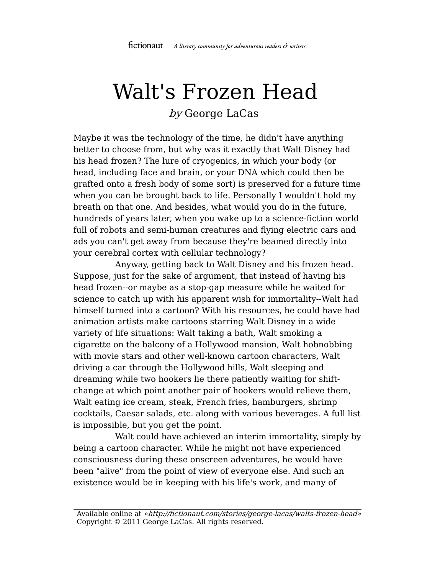## Walt's Frozen Head

by George LaCas

Maybe it was the technology of the time, he didn't have anything better to choose from, but why was it exactly that Walt Disney had his head frozen? The lure of cryogenics, in which your body (or head, including face and brain, or your DNA which could then be grafted onto a fresh body of some sort) is preserved for a future time when you can be brought back to life. Personally I wouldn't hold my breath on that one. And besides, what would you do in the future, hundreds of years later, when you wake up to a science-fiction world full of robots and semi-human creatures and flying electric cars and ads you can't get away from because they're beamed directly into your cerebral cortex with cellular technology?

Anyway, getting back to Walt Disney and his frozen head. Suppose, just for the sake of argument, that instead of having his head frozen--or maybe as a stop-gap measure while he waited for science to catch up with his apparent wish for immortality--Walt had himself turned into a cartoon? With his resources, he could have had animation artists make cartoons starring Walt Disney in a wide variety of life situations: Walt taking a bath, Walt smoking a cigarette on the balcony of a Hollywood mansion, Walt hobnobbing with movie stars and other well-known cartoon characters, Walt driving a car through the Hollywood hills, Walt sleeping and dreaming while two hookers lie there patiently waiting for shiftchange at which point another pair of hookers would relieve them, Walt eating ice cream, steak, French fries, hamburgers, shrimp cocktails, Caesar salads, etc. along with various beverages. A full list is impossible, but you get the point.

Walt could have achieved an interim immortality, simply by being a cartoon character. While he might not have experienced consciousness during these onscreen adventures, he would have been "alive" from the point of view of everyone else. And such an existence would be in keeping with his life's work, and many of

Available online at «http://fictionaut.com/stories/george-lacas/walts-frozen-head» Copyright © 2011 George LaCas. All rights reserved.